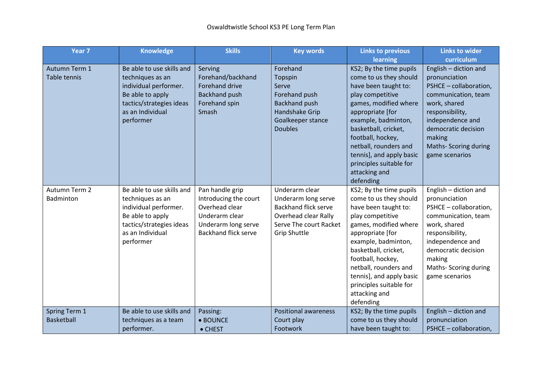| Year <sub>7</sub> | <b>Knowledge</b>          | <b>Skills</b>               | <b>Key words</b>            | <b>Links to previous</b> | <b>Links to wider</b>       |
|-------------------|---------------------------|-----------------------------|-----------------------------|--------------------------|-----------------------------|
|                   |                           |                             |                             | learning                 | curriculum                  |
| Autumn Term 1     | Be able to use skills and | Serving                     | Forehand                    | KS2; By the time pupils  | English - diction and       |
| Table tennis      | techniques as an          | Forehand/backhand           | Topspin                     | come to us they should   | pronunciation               |
|                   | individual performer.     | <b>Forehand drive</b>       | Serve                       | have been taught to:     | PSHCE - collaboration,      |
|                   | Be able to apply          | <b>Backhand push</b>        | Forehand push               | play competitive         | communication, team         |
|                   | tactics/strategies ideas  | Forehand spin               | <b>Backhand push</b>        | games, modified where    | work, shared                |
|                   | as an Individual          | Smash                       | Handshake Grip              | appropriate [for         | responsibility,             |
|                   | performer                 |                             | Goalkeeper stance           | example, badminton,      | independence and            |
|                   |                           |                             | <b>Doubles</b>              | basketball, cricket,     | democratic decision         |
|                   |                           |                             |                             | football, hockey,        | making                      |
|                   |                           |                             |                             | netball, rounders and    | <b>Maths-Scoring during</b> |
|                   |                           |                             |                             | tennis], and apply basic | game scenarios              |
|                   |                           |                             |                             | principles suitable for  |                             |
|                   |                           |                             |                             | attacking and            |                             |
|                   |                           |                             |                             | defending                |                             |
| Autumn Term 2     | Be able to use skills and | Pan handle grip             | Underarm clear              | KS2; By the time pupils  | English - diction and       |
| Badminton         | techniques as an          | Introducing the court       | Underarm long serve         | come to us they should   | pronunciation               |
|                   | individual performer.     | Overhead clear              | <b>Backhand flick serve</b> | have been taught to:     | PSHCE - collaboration,      |
|                   | Be able to apply          | Underarm clear              | Overhead clear Rally        | play competitive         | communication, team         |
|                   | tactics/strategies ideas  | Underarm long serve         | Serve The court Racket      | games, modified where    | work, shared                |
|                   | as an Individual          | <b>Backhand flick serve</b> | <b>Grip Shuttle</b>         | appropriate [for         | responsibility,             |
|                   | performer                 |                             |                             | example, badminton,      | independence and            |
|                   |                           |                             |                             | basketball, cricket,     | democratic decision         |
|                   |                           |                             |                             | football, hockey,        | making                      |
|                   |                           |                             |                             | netball, rounders and    | Maths- Scoring during       |
|                   |                           |                             |                             | tennis], and apply basic | game scenarios              |
|                   |                           |                             |                             | principles suitable for  |                             |
|                   |                           |                             |                             | attacking and            |                             |
|                   |                           |                             |                             | defending                |                             |
| Spring Term 1     | Be able to use skills and | Passing:                    | <b>Positional awareness</b> | KS2; By the time pupils  | English - diction and       |
| <b>Basketball</b> | techniques as a team      | • BOUNCE                    | Court play                  | come to us they should   | pronunciation               |
|                   | performer.                | • CHEST                     | Footwork                    | have been taught to:     | PSHCE - collaboration,      |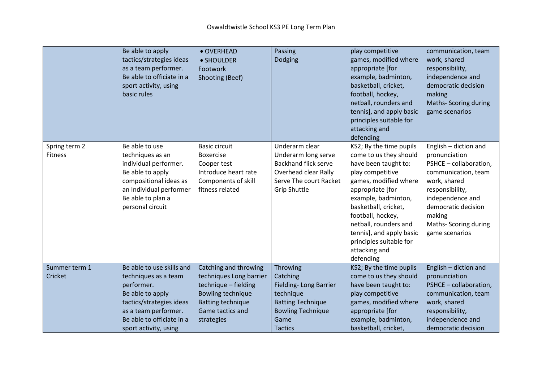|                                 | Be able to apply<br>tactics/strategies ideas<br>as a team performer.<br>Be able to officiate in a<br>sport activity, using<br>basic rules                                                     | • OVERHEAD<br>• SHOULDER<br>Footwork<br>Shooting (Beef)                                                                                                     | Passing<br>Dodging                                                                                                                            | play competitive<br>games, modified where<br>appropriate [for<br>example, badminton,<br>basketball, cricket,<br>football, hockey,<br>netball, rounders and<br>tennis], and apply basic<br>principles suitable for<br>attacking and<br>defending                                                                              | communication, team<br>work, shared<br>responsibility,<br>independence and<br>democratic decision<br>making<br><b>Maths-Scoring during</b><br>game scenarios                                                               |
|---------------------------------|-----------------------------------------------------------------------------------------------------------------------------------------------------------------------------------------------|-------------------------------------------------------------------------------------------------------------------------------------------------------------|-----------------------------------------------------------------------------------------------------------------------------------------------|------------------------------------------------------------------------------------------------------------------------------------------------------------------------------------------------------------------------------------------------------------------------------------------------------------------------------|----------------------------------------------------------------------------------------------------------------------------------------------------------------------------------------------------------------------------|
| Spring term 2<br><b>Fitness</b> | Be able to use<br>techniques as an<br>individual performer.<br>Be able to apply<br>compositional ideas as<br>an Individual performer<br>Be able to plan a<br>personal circuit                 | <b>Basic circuit</b><br><b>Boxercise</b><br>Cooper test<br>Introduce heart rate<br>Components of skill<br>fitness related                                   | Underarm clear<br>Underarm long serve<br><b>Backhand flick serve</b><br>Overhead clear Rally<br>Serve The court Racket<br><b>Grip Shuttle</b> | KS2; By the time pupils<br>come to us they should<br>have been taught to:<br>play competitive<br>games, modified where<br>appropriate [for<br>example, badminton,<br>basketball, cricket,<br>football, hockey,<br>netball, rounders and<br>tennis], and apply basic<br>principles suitable for<br>attacking and<br>defending | English - diction and<br>pronunciation<br>PSHCE - collaboration,<br>communication, team<br>work, shared<br>responsibility,<br>independence and<br>democratic decision<br>making<br>Maths- Scoring during<br>game scenarios |
| Summer term 1<br>Cricket        | Be able to use skills and<br>techniques as a team<br>performer.<br>Be able to apply<br>tactics/strategies ideas<br>as a team performer.<br>Be able to officiate in a<br>sport activity, using | Catching and throwing<br>techniques Long barrier<br>technique - fielding<br>Bowling technique<br><b>Batting technique</b><br>Game tactics and<br>strategies | Throwing<br>Catching<br>Fielding-Long Barrier<br>technique<br><b>Batting Technique</b><br><b>Bowling Technique</b><br>Game<br><b>Tactics</b>  | KS2; By the time pupils<br>come to us they should<br>have been taught to:<br>play competitive<br>games, modified where<br>appropriate [for<br>example, badminton,<br>basketball, cricket,                                                                                                                                    | English - diction and<br>pronunciation<br>PSHCE - collaboration,<br>communication, team<br>work, shared<br>responsibility,<br>independence and<br>democratic decision                                                      |